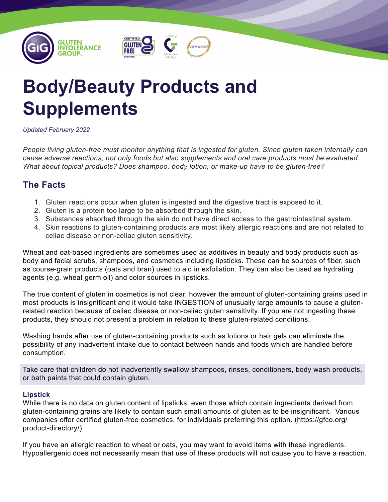

# **Body/Beauty Products and Supplements**

#### *Updated February 2022*

*People living gluten-free must monitor anything that is ingested for gluten. Since gluten taken internally can cause adverse reactions, not only foods but also supplements and oral care products must be evaluated. What about topical products? Does shampoo, body lotion, or make-up have to be gluten-free?*

## **The Facts**

- 1. Gluten reactions occur when gluten is ingested and the digestive tract is exposed to it.
- 2. Gluten is a protein too large to be absorbed through the skin.
- 3. Substances absorbed through the skin do not have direct access to the gastrointestinal system.
- 4. Skin reactions to gluten-containing products are most likely allergic reactions and are not related to celiac disease or non-celiac gluten sensitivity.

Wheat and oat-based ingredients are sometimes used as additives in beauty and body products such as body and facial scrubs, shampoos, and cosmetics including lipsticks. These can be sources of fiber, such as course-grain products (oats and bran) used to aid in exfoliation. They can also be used as hydrating agents (e.g. wheat germ oil) and color sources in lipsticks.

The true content of gluten in cosmetics is not clear, however the amount of gluten-containing grains used in most products is insignificant and it would take INGESTION of unusually large amounts to cause a glutenrelated reaction because of celiac disease or non-celiac gluten sensitivity. If you are not ingesting these products, they should not present a problem in relation to these gluten-related conditions.

Washing hands after use of gluten-containing products such as lotions or hair gels can eliminate the possibility of any inadvertent intake due to contact between hands and foods which are handled before consumption.

Take care that children do not inadvertently swallow shampoos, rinses, conditioners, body wash products, or bath paints that could contain gluten.

### **Lipstick**

While there is no data on gluten content of lipsticks, even those which contain ingredients derived from gluten-containing grains are likely to contain such small amounts of gluten as to be insignificant. Various companies offer certified gluten-free cosmetics, for individuals preferring this option. (https://gfco.org/ product-directory/)

If you have an allergic reaction to wheat or oats, you may want to avoid items with these ingredients. Hypoallergenic does not necessarily mean that use of these products will not cause you to have a reaction.